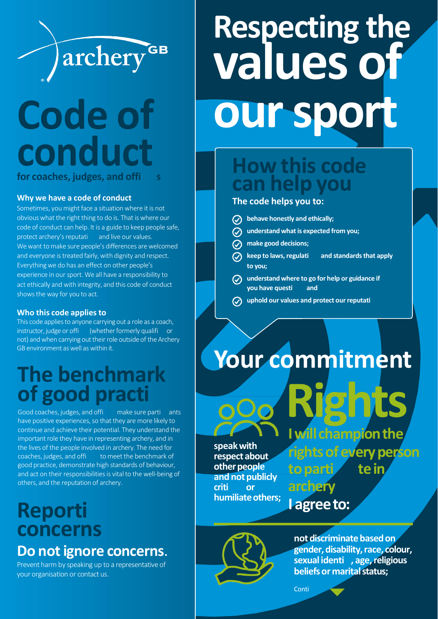

## **Code of conduct for coaches, judges, and offi s**

#### **Why we have a code of conduct**

Sometimes, you might face a situation where it is not obvious what the right thing to do is. That is where our code of conduct can help. It is a guide to keep people safe, protect archery's reputati and live our values. We want to make sure people's differences are welcomed and everyone is treated fairly, with dignity and respect. Everything we do has an effect on other people's experience in our sport. We all have a responsibility to act ethically and with integrity, and this code of conduct showsthe way for you to act.

#### **Who this code applies to**

This code applies to anyone carrying out a role as a coach, instructor, judge or offi (whether formerly qualifi or not) and when carrying out their role outside of the Archery GB environment as well as within it.

### **The benchmark of good practi**

Good coaches, judges, and offi make sure parti ants have positive experiences, so that they are more likely to continue and achieve their potential. They understand the important role they have in representing archery, and in the lives of the people involved in archery. The need for coaches, judges, and offi to meet the benchmark of good practice, demonstrate high standards of behaviour, and act on their responsibilities is vital to the well-being of others, and the reputation of archery.

### **Reporti concerns Do notignore concerns**.

Prevent harm by speaking up to a representative of your organisation or contact us.

# **Respecting the values of oursport**

### **How this code can help you**

#### **The code helps you to:**

- **behave honestly and ethically;**  $\varpi$ **understand whatis expected from you; make good decisions; keep to** laws, regulati and standards that apply **to you; understand where to go for help or guidance if you have questi and**
- **uphold our values and protect ourreputati**

## **Your commitment**

**speakwith respect about other people** and not publicly **criti or** humiliate others: **Rights** *<u>Mill</u>* champion the **rightsofeveryperson toparti tein**

**l agree** to:

**archery**



**not discriminate based on gender,disability,race, colour, sexual identi , age,religious beliefs or marital status;** 

**Conti**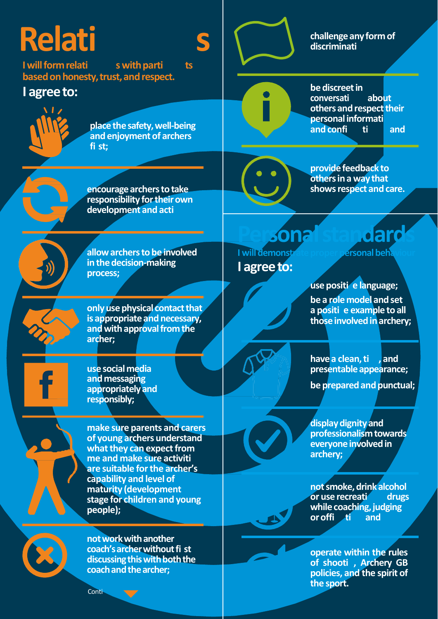# **Relati**

I will form relati s with parti ts based on honesty, trust, and respect.

### I agree to:



place the safety, well-being and enjoyment of archers fi st:



S

challenge any form of discriminati



encourage archers to take responsibility for their own development and acti



provide feedback to others in a way that shows respect and care.



allow archers to be involved in the decision-making process;

only use physical contact that is appropriate and necessary, and with approval from the archer;



use social media and messaging appropriately and responsibly;

make sure parents and carers of young archers understand what they can expect from me and make sure activiti are suitable for the archer's capability and level of maturity (development stage for children and young people);



not work with another coach's archer without fi st discussing this with both the coach and the archer;

## I will demonst I agree to:

ersonal beh

use positi e language; be a role model and set a positi e example to all those involved in archery;

have a clean, ti, and presentable appearance;

be prepared and punctual;

display dignity and professionalism towards everyone involved in archery;

not smoke, drink alcohol or use recreati drugs while coaching, judging or offication and

operate within the rules of shooti, Archery GB policies, and the spirit of the sport.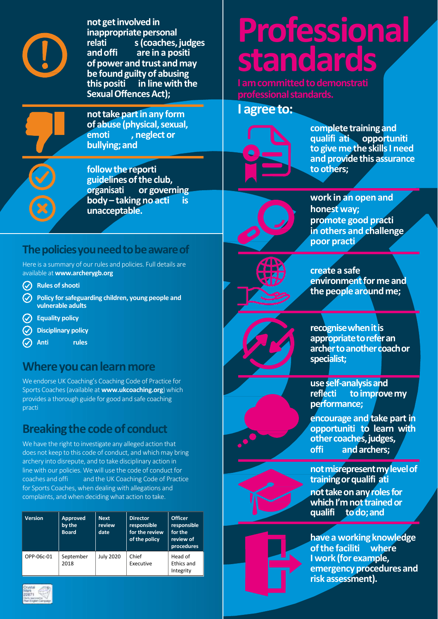

**not** get involved in **inappropriate personal<br>relati s (coaches. relati s(coaches,judges andoffi are in a positi of** power and trust and may **be found** guilty of abusing<br>this positi in line with the **in** line with the **SexualOffencesAct);**

**not take part in any form of abuse (physical, sexual, property** and **property** contained by **a emoti , neglect or bullying;and**

**followthe reporti guidelinesofthe club, or** governing **body– taking no acti is unacceptable.**

### **Thepoliciesyouneedtobeawareof**

Here is a summary of our rules and policies. Full details are available at **[www.archerygb.org](http://www.archerygb.org/)**

- **Rules ofshooti**
- **Policy forsafeguarding children, young people and vulnerable adults**
- **Equality policy**
- **Disciplinary policy**
- $\odot$ **Anti rules**

### **Where you can learn more**

We endorse UK Coaching's Coaching Code of Practice for Sports Coaches (available at **www.ukcoaching.org**) which provides a thorough guide for good and safe coaching practi

### **Breakingthecodeof conduct**

We have the right to investigate any alleged action that does not keep to this code of conduct, and which may bring archery into disrepute, and to take disciplinary action in line with our policies. We will use the code of conduct for coaches and offi and the UK Coaching Code of Practice for Sports Coaches, when dealing with allegations and complaints, andwhen deciding what action to take.

| <b>Version</b> | Approved<br>by the<br><b>Board</b> | <b>Next</b><br>review<br>date | <b>Director</b><br>responsible<br>for the review<br>of the policy | <b>Officer</b><br>responsible<br>for the<br>review of<br>procedures |
|----------------|------------------------------------|-------------------------------|-------------------------------------------------------------------|---------------------------------------------------------------------|
| OPP-06c-01     | September<br>2018                  | <b>July 2020</b>              | Chief<br>Executive                                                | Head of<br>Ethics and<br>Integrity                                  |



## **Professional standards**

**I** am committed to demonstrati **professional standards.** 

**l** agree to:



**complete training and qualifi ati opportuniti togive me the skillsI need and provide this assurance toothers;**

**work in an open and honest way; promote good practi in others and challenge poor practi**



**createa safe environment** for me and the people around me;





use <mark>self-analysis an</mark>d<br>reflecti to improve **to improve my performance;**

**encourage and take part in opportuniti to learn with other coaches, judges,<br>office and archers: offi andarchers;**



**notmisrepresentmylevelof trainingorqualifi ati not take on any roles for whichI'mnottrainedor** to do; and

**have a working knowledge ofthe faciliti where I work (for example, emergencyprocedures and risk assessment).**